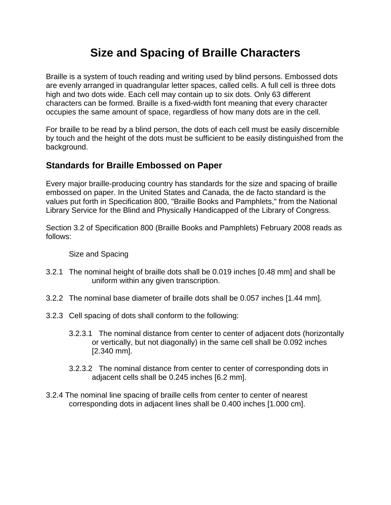## **Size and Spacing of Braille Characters**

Braille is a system of touch reading and writing used by blind persons. Embossed dots are evenly arranged in quadrangular letter spaces, called cells. A full cell is three dots high and two dots wide. Each cell may contain up to six dots. Only 63 different characters can be formed. Braille is a fixed-width font meaning that every character occupies the same amount of space, regardless of how many dots are in the cell.

For braille to be read by a blind person, the dots of each cell must be easily discernible by touch and the height of the dots must be sufficient to be easily distinguished from the background.

## **Standards for Braille Embossed on Paper**

Every major braille-producing country has standards for the size and spacing of braille embossed on paper. In the United States and Canada, the de facto standard is the values put forth in Specification 800, "Braille Books and Pamphlets," from the National Library Service for the Blind and Physically Handicapped of the Library of Congress.

Section 3.2 of Specification 800 (Braille Books and Pamphlets) February 2008 reads as follows:

## Size and Spacing

- 3.2.1 The nominal height of braille dots shall be 0.019 inches [0.48 mm] and shall be uniform within any given transcription.
- 3.2.2 The nominal base diameter of braille dots shall be 0.057 inches [1.44 mm].
- 3.2.3 Cell spacing of dots shall conform to the following:
	- 3.2.3.1 The nominal distance from center to center of adjacent dots (horizontally or vertically, but not diagonally) in the same cell shall be 0.092 inches [2.340 mm].
	- 3.2.3.2 The nominal distance from center to center of corresponding dots in adjacent cells shall be 0.245 inches [6.2 mm].
- 3.2.4 The nominal line spacing of braille cells from center to center of nearest corresponding dots in adjacent lines shall be 0.400 inches [1.000 cm].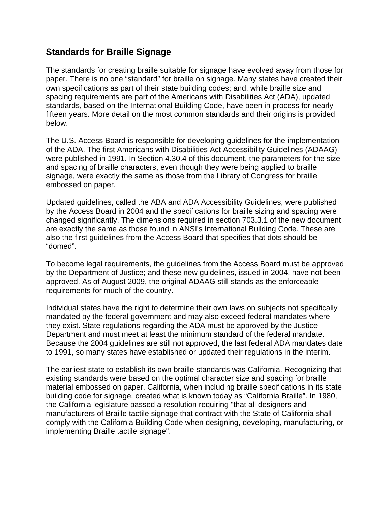## **Standards for Braille Signage**

The standards for creating braille suitable for signage have evolved away from those for paper. There is no one "standard" for braille on signage. Many states have created their own specifications as part of their state building codes; and, while braille size and spacing requirements are part of the Americans with Disabilities Act (ADA), updated standards, based on the International Building Code, have been in process for nearly fifteen years. More detail on the most common standards and their origins is provided below.

The U.S. Access Board is responsible for developing guidelines for the implementation of the ADA. The first Americans with Disabilities Act Accessibility Guidelines (ADAAG) were published in 1991. In Section 4.30.4 of this document, the parameters for the size and spacing of braille characters, even though they were being applied to braille signage, were exactly the same as those from the Library of Congress for braille embossed on paper.

Updated guidelines, called the ABA and ADA Accessibility Guidelines, were published by the Access Board in 2004 and the specifications for braille sizing and spacing were changed significantly. The dimensions required in section 703.3.1 of the new document are exactly the same as those found in ANSI's International Building Code. These are also the first guidelines from the Access Board that specifies that dots should be "domed".

To become legal requirements, the guidelines from the Access Board must be approved by the Department of Justice; and these new guidelines, issued in 2004, have not been approved. As of August 2009, the original ADAAG still stands as the enforceable requirements for much of the country.

Individual states have the right to determine their own laws on subjects not specifically mandated by the federal government and may also exceed federal mandates where they exist. State regulations regarding the ADA must be approved by the Justice Department and must meet at least the minimum standard of the federal mandate. Because the 2004 guidelines are still not approved, the last federal ADA mandates date to 1991, so many states have established or updated their regulations in the interim.

The earliest state to establish its own braille standards was California. Recognizing that existing standards were based on the optimal character size and spacing for braille material embossed on paper, California, when including braille specifications in its state building code for signage, created what is known today as "California Braille". In 1980, the California legislature passed a resolution requiring "that all designers and manufacturers of Braille tactile signage that contract with the State of California shall comply with the California Building Code when designing, developing, manufacturing, or implementing Braille tactile signage".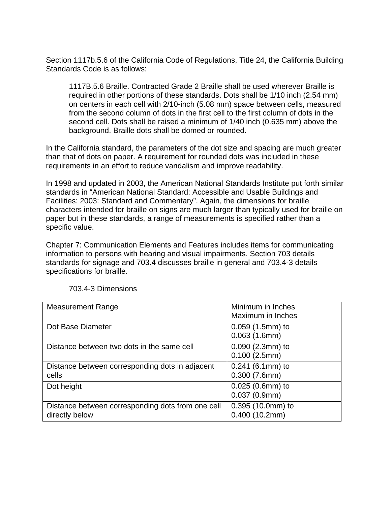Section 1117b.5.6 of the California Code of Regulations, Title 24, the California Building Standards Code is as follows:

1117B.5.6 Braille. Contracted Grade 2 Braille shall be used wherever Braille is required in other portions of these standards. Dots shall be 1/10 inch (2.54 mm) on centers in each cell with 2/10-inch (5.08 mm) space between cells, measured from the second column of dots in the first cell to the first column of dots in the second cell. Dots shall be raised a minimum of 1/40 inch (0.635 mm) above the background. Braille dots shall be domed or rounded.

In the California standard, the parameters of the dot size and spacing are much greater than that of dots on paper. A requirement for rounded dots was included in these requirements in an effort to reduce vandalism and improve readability.

In 1998 and updated in 2003, the American National Standards Institute put forth similar standards in "American National Standard: Accessible and Usable Buildings and Facilities: 2003: Standard and Commentary". Again, the dimensions for braille characters intended for braille on signs are much larger than typically used for braille on paper but in these standards, a range of measurements is specified rather than a specific value.

Chapter 7: Communication Elements and Features includes items for communicating information to persons with hearing and visual impairments. Section 703 details standards for signage and 703.4 discusses braille in general and 703.4-3 details specifications for braille.

| <b>Measurement Range</b>                                            | Minimum in Inches<br>Maximum in Inches |
|---------------------------------------------------------------------|----------------------------------------|
| Dot Base Diameter                                                   | $0.059$ (1.5mm) to<br>0.063(1.6mm)     |
| Distance between two dots in the same cell                          | $0.090$ (2.3mm) to<br>0.100(2.5mm)     |
| Distance between corresponding dots in adjacent<br>cells            | $0.241$ (6.1mm) to<br>0.300(7.6mm)     |
| Dot height                                                          | 0.025 (0.6mm) to<br>0.037(0.9mm)       |
| Distance between corresponding dots from one cell<br>directly below | 0.395 (10.0mm) to<br>0.400(10.2mm)     |

703.4-3 Dimensions